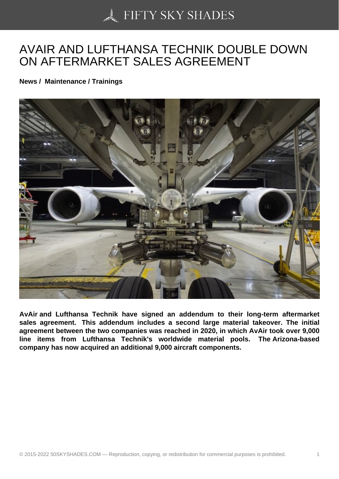## [AVAIR AND LUFTHAN](https://50skyshades.com)SA TECHNIK DOUBLE DOWN ON AFTERMARKET SALES AGREEMENT

News / Maintenance / Trainings

AvAir and Lufthansa Technik have signed an addendum to their long-term aftermarket sales agreement. This addendum includes a second large material takeover. The initial agreement between the two companies was reached in 2020, in which AvAir took over 9,000 line items from Lufthansa Technik's worldwide material pools. The Arizona-based company has now acquired an additional 9,000 aircraft components.